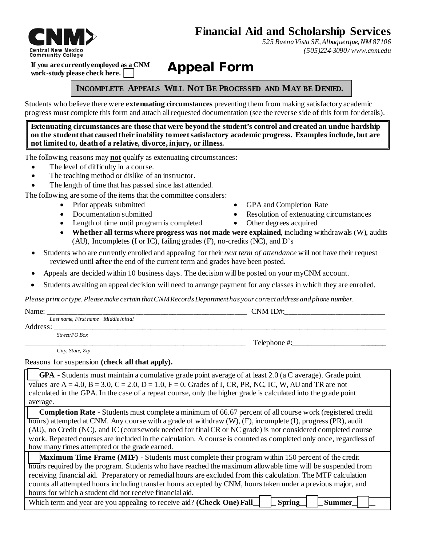# **Financial Aid and Scholarship Services**



**If you are currently employed as a CNM work-study please check here.** 

Appeal Form

## **INCOMPLETE APPEALS WILL NOT BE PROCESSED AND MAY BE DENIED.**

Students who believe there were **extenuating circumstances** preventing them from making satisfactory academic progress must complete this form and attach all requested documentation (see the reverse side of this form for details).

**Extenuating circumstances are those that were beyond the student's control and created an undue hardship on the student that caused their inability to meet satisfactory academic progress. Examples include, but are not limited to, death of a relative, divorce, injury, or illness.** 

The following reasons may **not** qualify as extenuating circumstances:

- The level of difficulty in a course.
- The teaching method or dislike of an instructor.
- The length of time that has passed since last attended.

The following are some of the items that the committee considers:

- 
- 
- Length of time until program is completed Other degrees acquired
- Prior appeals submitted GPA and Completion Rate
- Documentation submitted Resolution of extenuating circumstances
	-
- **Whether all terms where progress was not made were explained**, including withdrawals (W), audits (AU), Incompletes (I or IC), failing grades (F), no-credits (NC), and D's
- Students who are currently enrolled and appealing for their *next term of attendance* will not have their request reviewed until **after** the end of the current term and grades have been posted.
- Appeals are decided within 10 business days. The decision will be posted on your myCNM account.
- Students awaiting an appeal decision will need to arrange payment for any classes in which they are enrolled.

*Please print or type. Please make certain that CNMRecords Department has your correct address andphone number.* 

| Name: |  |
|-------|--|
|       |  |

*Last name, First name Middle initial*

- Address: \_\_\_\_\_\_\_\_\_\_\_\_\_\_\_\_\_\_\_\_\_\_\_\_\_\_\_\_\_\_\_\_\_\_\_\_\_\_\_\_\_\_\_\_\_\_\_\_\_\_\_\_\_\_\_\_\_\_\_\_\_\_\_\_\_\_\_\_\_\_\_\_\_\_\_\_\_\_\_\_
	- *Street/PO Box*

 *City, State, Zip*

 $T$ elephone #:

 $CNM$  ID#:

Reasons for suspension **(check all that apply).** 

**GPA -** Students must maintain a cumulative grade point average of at least 2.0 (a C average). Grade point values are  $A = 4.0$ ,  $B = 3.0$ ,  $C = 2.0$ ,  $D = 1.0$ ,  $F = 0$ . Grades of I, CR, PR, NC, IC, W, AU and TR are not calculated in the GPA. In the case of a repeat course, only the higher grade is calculated into the grade point average.

**Completion Rate -** Students must complete a minimum of 66.67 percent of all course work (registered credit hours) attempted at CNM. Any course with a grade of withdraw (W), (F), incomplete (I), progress (PR), audit (AU), no Credit (NC), and IC (coursework needed for final CR or NC grade) is not considered completed course work. Repeated courses are included in the calculation. A course is counted as completed only once, regardless of how many times attempted or the grade earned.

**Maximum Time Frame (MTF) -** Students must complete their program within 150 percent of the credit hours required by the program. Students who have reached the maximum allowable time will be suspended from receiving financial aid. Preparatory or remedial hours are excluded from this calculation. The MTF calculation counts all attempted hours including transfer hours accepted by CNM, hours taken under a previous major, and hours for which a student did not receive financial aid.

Which term and year are you appealing to receive aid? **(Check One) Fall | Spring | Summer**